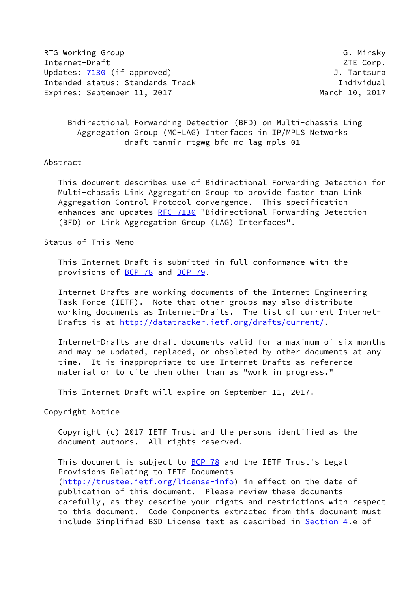RTG Working Group Group G. Mirsky Internet-Draft ZTE Corp. Updates: [7130](https://datatracker.ietf.org/doc/pdf/rfc7130) (if approved) Contract Contract Contract Duman J. Tantsura Intended status: Standards Track Individual Expires: September 11, 2017 March 10, 2017

 Bidirectional Forwarding Detection (BFD) on Multi-chassis Ling Aggregation Group (MC-LAG) Interfaces in IP/MPLS Networks draft-tanmir-rtgwg-bfd-mc-lag-mpls-01

## Abstract

 This document describes use of Bidirectional Forwarding Detection for Multi-chassis Link Aggregation Group to provide faster than Link Aggregation Control Protocol convergence. This specification enhances and updates [RFC 7130](https://datatracker.ietf.org/doc/pdf/rfc7130) "Bidirectional Forwarding Detection (BFD) on Link Aggregation Group (LAG) Interfaces".

Status of This Memo

 This Internet-Draft is submitted in full conformance with the provisions of [BCP 78](https://datatracker.ietf.org/doc/pdf/bcp78) and [BCP 79](https://datatracker.ietf.org/doc/pdf/bcp79).

 Internet-Drafts are working documents of the Internet Engineering Task Force (IETF). Note that other groups may also distribute working documents as Internet-Drafts. The list of current Internet Drafts is at<http://datatracker.ietf.org/drafts/current/>.

 Internet-Drafts are draft documents valid for a maximum of six months and may be updated, replaced, or obsoleted by other documents at any time. It is inappropriate to use Internet-Drafts as reference material or to cite them other than as "work in progress."

This Internet-Draft will expire on September 11, 2017.

Copyright Notice

 Copyright (c) 2017 IETF Trust and the persons identified as the document authors. All rights reserved.

This document is subject to **[BCP 78](https://datatracker.ietf.org/doc/pdf/bcp78)** and the IETF Trust's Legal Provisions Relating to IETF Documents [\(http://trustee.ietf.org/license-info](http://trustee.ietf.org/license-info)) in effect on the date of publication of this document. Please review these documents carefully, as they describe your rights and restrictions with respect to this document. Code Components extracted from this document must include Simplified BSD License text as described in [Section 4.](#page-4-0)e of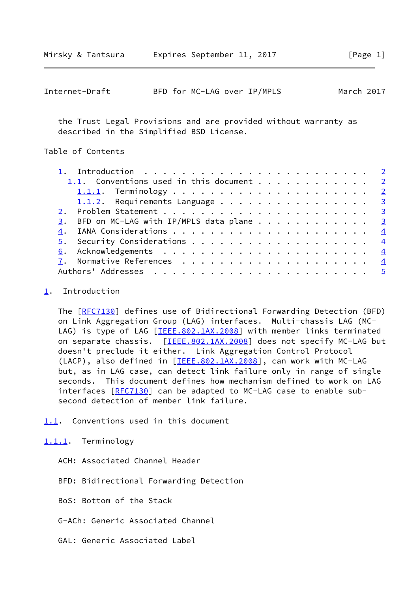<span id="page-1-1"></span>

| Internet-Draft |  |  | BFD for MC-LAG over IP/MPLS | March 2017 |
|----------------|--|--|-----------------------------|------------|
|----------------|--|--|-----------------------------|------------|

 the Trust Legal Provisions and are provided without warranty as described in the Simplified BSD License.

## Table of Contents

| 1.1. Conventions used in this document $\frac{2}{3}$ |  |
|------------------------------------------------------|--|
|                                                      |  |
| 1.1.2. Requirements Language 3                       |  |
|                                                      |  |
| 3. BFD on MC-LAG with IP/MPLS data plane 3           |  |
|                                                      |  |
|                                                      |  |
|                                                      |  |
|                                                      |  |
|                                                      |  |

## <span id="page-1-0"></span>[1](#page-1-0). Introduction

 The [\[RFC7130](https://datatracker.ietf.org/doc/pdf/rfc7130)] defines use of Bidirectional Forwarding Detection (BFD) on Link Aggregation Group (LAG) interfaces. Multi-chassis LAG (MC- LAG) is type of LAG [\[IEEE.802.1AX.2008](#page-4-5)] with member links terminated on separate chassis. [[IEEE.802.1AX.2008\]](#page-4-5) does not specify MC-LAG but doesn't preclude it either. Link Aggregation Control Protocol (LACP), also defined in [\[IEEE.802.1AX.2008](#page-4-5)], can work with MC-LAG but, as in LAG case, can detect link failure only in range of single seconds. This document defines how mechanism defined to work on LAG interfaces [[RFC7130\]](https://datatracker.ietf.org/doc/pdf/rfc7130) can be adapted to MC-LAG case to enable subsecond detection of member link failure.

- <span id="page-1-2"></span>[1.1](#page-1-2). Conventions used in this document
- <span id="page-1-3"></span>[1.1.1](#page-1-3). Terminology
	- ACH: Associated Channel Header
	- BFD: Bidirectional Forwarding Detection
	- BoS: Bottom of the Stack
	- G-ACh: Generic Associated Channel
	- GAL: Generic Associated Label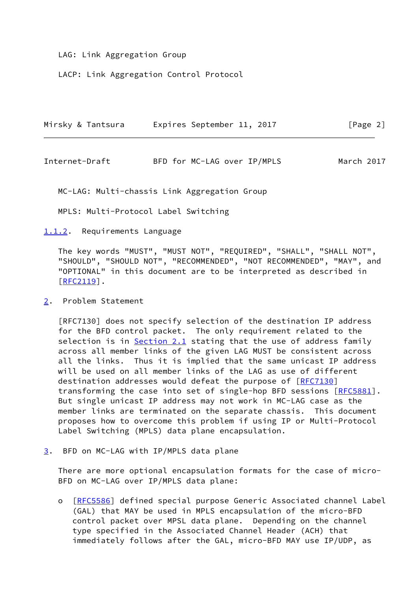LAG: Link Aggregation Group

LACP: Link Aggregation Control Protocol

|  | Mirsky & Tantsura | Expires September 11, 2017 |  | [Page 2] |  |
|--|-------------------|----------------------------|--|----------|--|
|  |                   |                            |  |          |  |

<span id="page-2-1"></span>Internet-Draft BFD for MC-LAG over IP/MPLS March 2017

MC-LAG: Multi-chassis Link Aggregation Group

MPLS: Multi-Protocol Label Switching

<span id="page-2-0"></span>[1.1.2](#page-2-0). Requirements Language

 The key words "MUST", "MUST NOT", "REQUIRED", "SHALL", "SHALL NOT", "SHOULD", "SHOULD NOT", "RECOMMENDED", "NOT RECOMMENDED", "MAY", and "OPTIONAL" in this document are to be interpreted as described in [\[RFC2119](https://datatracker.ietf.org/doc/pdf/rfc2119)].

<span id="page-2-2"></span>[2](#page-2-2). Problem Statement

 [RFC7130] does not specify selection of the destination IP address for the BFD control packet. The only requirement related to the selection is in **Section 2.1** stating that the use of address family across all member links of the given LAG MUST be consistent across all the links. Thus it is implied that the same unicast IP address will be used on all member links of the LAG as use of different destination addresses would defeat the purpose of [[RFC7130](https://datatracker.ietf.org/doc/pdf/rfc7130)] transforming the case into set of single-hop BFD sessions [[RFC5881](https://datatracker.ietf.org/doc/pdf/rfc5881)]. But single unicast IP address may not work in MC-LAG case as the member links are terminated on the separate chassis. This document proposes how to overcome this problem if using IP or Multi-Protocol Label Switching (MPLS) data plane encapsulation.

<span id="page-2-3"></span>[3](#page-2-3). BFD on MC-LAG with IP/MPLS data plane

 There are more optional encapsulation formats for the case of micro- BFD on MC-LAG over IP/MPLS data plane:

 o [[RFC5586\]](https://datatracker.ietf.org/doc/pdf/rfc5586) defined special purpose Generic Associated channel Label (GAL) that MAY be used in MPLS encapsulation of the micro-BFD control packet over MPSL data plane. Depending on the channel type specified in the Associated Channel Header (ACH) that immediately follows after the GAL, micro-BFD MAY use IP/UDP, as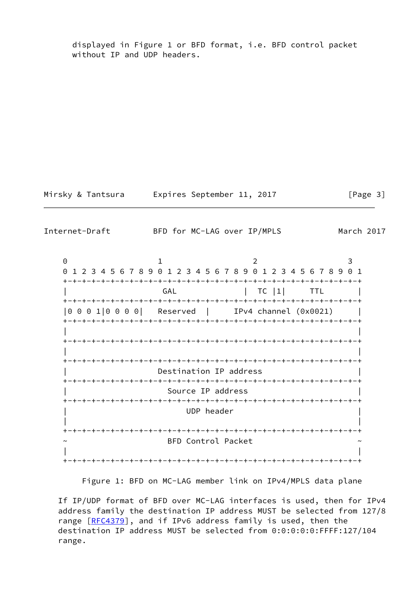displayed in Figure 1 or BFD format, i.e. BFD control packet without IP and UDP headers.

Mirsky & Tantsura Expires September 11, 2017 [Page 3]

<span id="page-3-0"></span>Internet-Draft BFD for MC-LAG over IP/MPLS March 2017

0 1 2 3 0 1 2 3 4 5 6 7 8 9 0 1 2 3 4 5 6 7 8 9 0 1 2 3 4 5 6 7 8 9 0 1 +-+-+-+-+-+-+-+-+-+-+-+-+-+-+-+-+-+-+-+-+-+-+-+-+-+-+-+-+-+-+-+ | GAL | TC |1| TTL +-+-+-+-+-+-+-+-+-+-+-+-+-+-+-+-+-+-+-+-+-+-+-+-+-+-+-+-+-+-+-+ |0 0 0 1|0 0 0 0| Reserved | IPv4 channel (0x0021) | +-+-+-+-+-+-+-+-+-+-+-+-+-+-+-+-+-+-+-+-+-+-+-+-+-+-+-+-+-+-+-+ | | +-+-+-+-+-+-+-+-+-+-+-+-+-+-+-+-+-+-+-+-+-+-+-+-+-+-+-+-+-+-+-+ | | +-+-+-+-+-+-+-+-+-+-+-+-+-+-+-+-+-+-+-+-+-+-+-+-+-+-+-+-+-+-+-+ Destination IP address +-+-+-+-+-+-+-+-+-+-+-+-+-+-+-+-+-+-+-+-+-+-+-+-+-+-+-+-+-+-+-+ Source IP address +-+-+-+-+-+-+-+-+-+-+-+-+-+-+-+-+-+-+-+-+-+-+-+-+-+-+-+-+-+-+-+ UDP header | | +-+-+-+-+-+-+-+-+-+-+-+-+-+-+-+-+-+-+-+-+-+-+-+-+-+-+-+-+-+-+-+ BFD Control Packet | | +-+-+-+-+-+-+-+-+-+-+-+-+-+-+-+-+-+-+-+-+-+-+-+-+-+-+-+-+-+-+-+

Figure 1: BFD on MC-LAG member link on IPv4/MPLS data plane

 If IP/UDP format of BFD over MC-LAG interfaces is used, then for IPv4 address family the destination IP address MUST be selected from 127/8 range [[RFC4379](https://datatracker.ietf.org/doc/pdf/rfc4379)], and if IPv6 address family is used, then the destination IP address MUST be selected from 0:0:0:0:0:FFFF:127/104 range.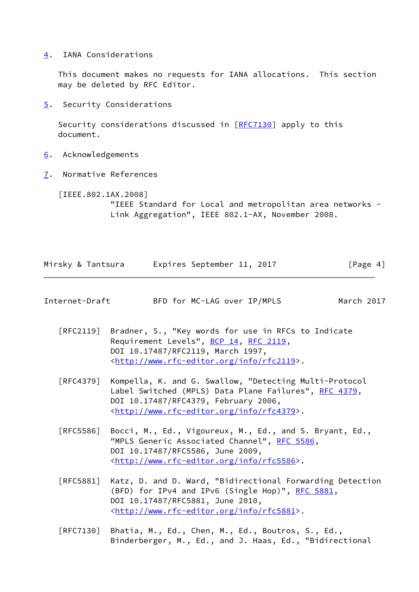<span id="page-4-0"></span>[4](#page-4-0). IANA Considerations

 This document makes no requests for IANA allocations. This section may be deleted by RFC Editor.

<span id="page-4-1"></span>[5](#page-4-1). Security Considerations

Security considerations discussed in [\[RFC7130](https://datatracker.ietf.org/doc/pdf/rfc7130)] apply to this document.

- <span id="page-4-2"></span>[6](#page-4-2). Acknowledgements
- <span id="page-4-3"></span>[7](#page-4-3). Normative References

<span id="page-4-5"></span> [IEEE.802.1AX.2008] "IEEE Standard for Local and metropolitan area networks - Link Aggregation", IEEE 802.1-AX, November 2008.

|  | Mirsky & Tantsura | Expires September 11, 2017 |  | [Page 4] |  |
|--|-------------------|----------------------------|--|----------|--|
|  |                   |                            |  |          |  |

<span id="page-4-4"></span>Internet-Draft BFD for MC-LAG over IP/MPLS March 2017

 [RFC2119] Bradner, S., "Key words for use in RFCs to Indicate Requirement Levels", [BCP 14](https://datatracker.ietf.org/doc/pdf/bcp14), [RFC 2119](https://datatracker.ietf.org/doc/pdf/rfc2119), DOI 10.17487/RFC2119, March 1997, <<http://www.rfc-editor.org/info/rfc2119>>.

- [RFC4379] Kompella, K. and G. Swallow, "Detecting Multi-Protocol Label Switched (MPLS) Data Plane Failures", [RFC 4379,](https://datatracker.ietf.org/doc/pdf/rfc4379) DOI 10.17487/RFC4379, February 2006, <<http://www.rfc-editor.org/info/rfc4379>>.
- [RFC5586] Bocci, M., Ed., Vigoureux, M., Ed., and S. Bryant, Ed., "MPLS Generic Associated Channel", [RFC 5586](https://datatracker.ietf.org/doc/pdf/rfc5586), DOI 10.17487/RFC5586, June 2009, <<http://www.rfc-editor.org/info/rfc5586>>.
- [RFC5881] Katz, D. and D. Ward, "Bidirectional Forwarding Detection (BFD) for IPv4 and IPv6 (Single Hop)", [RFC 5881](https://datatracker.ietf.org/doc/pdf/rfc5881), DOI 10.17487/RFC5881, June 2010, <<http://www.rfc-editor.org/info/rfc5881>>.
- [RFC7130] Bhatia, M., Ed., Chen, M., Ed., Boutros, S., Ed., Binderberger, M., Ed., and J. Haas, Ed., "Bidirectional